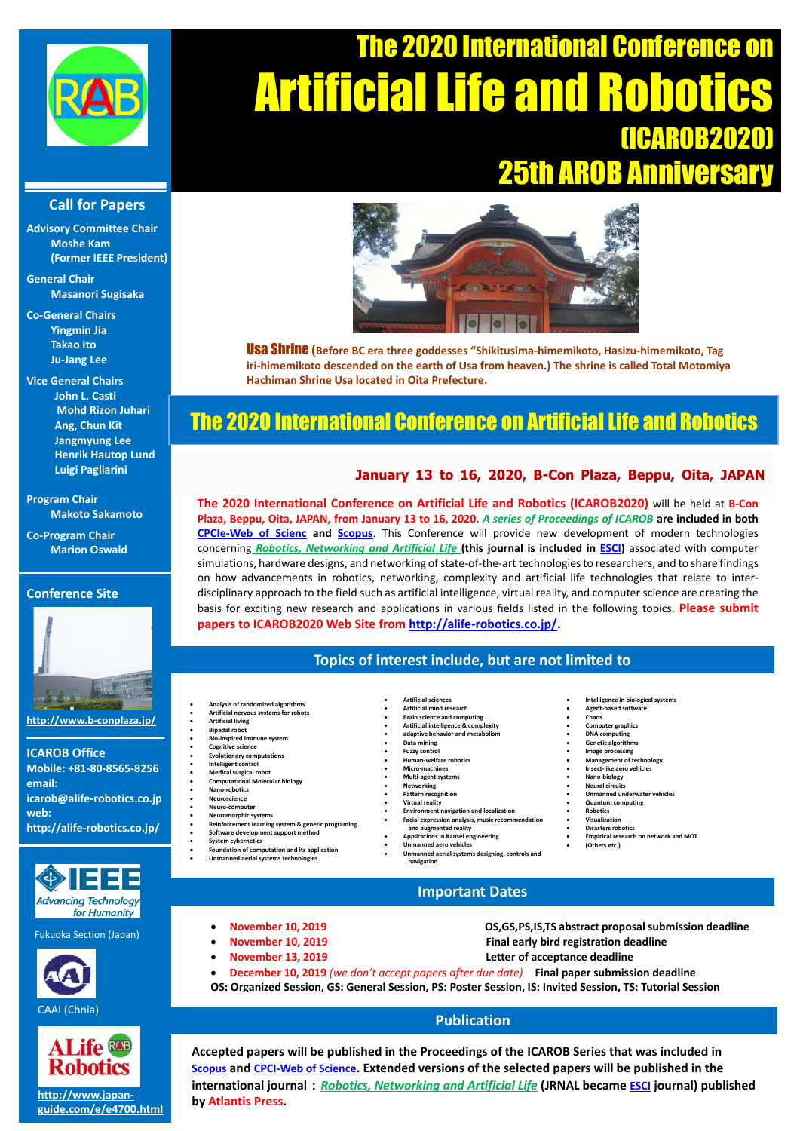

# The 2020 International Conference on **Artificial Life and** (ICAROB2020) 25th AROB Anniversar

### **Call for Papers**

**Advisory Committee Chair Moshe Kam (Former IEEE President)**

**General Chair Masanori Sugisaka**

**Co-General Chairs Yingmin Jia Takao Ito Ju-Jang Lee**

**Vice General Chairs [John L. Casti](http://xed.world/) Mohd Rizon Juhari Ang, Chun Kit Jangmyung Lee Henrik Hautop Lund Luigi Pagliarini**

**Program Chair Makoto Sakamoto**

**Co-Program Chair Marion Oswald**

# **Conference Site**



**http://www.b-conplaza.jp/**

**ICAROB Office Mobile: +81-80-8565-8256 email: icarob@alife-robotics.co.jp web: http://alife-robotics.co.jp/**



Fukuoka Section (Japan)





#### **[http://www.japan](http://www.japan-guide.com/e/e4700.html)[guide.com/e/e4700.html](http://www.japan-guide.com/e/e4700.html)**



Usa Shrine **(Before BC era three goddesses "Shikitusima-himemikoto, Hasizu-himemikoto, Tag iri-himemikoto descended on the earth of Usa from heaven.) The shrine is called Total Motomiya Hachiman Shrine Usa located in Oita Prefecture.**

# The 2020 International Conference on Artificial Life and Robotics

# **January 13 to 16, 2020, B-Con Plaza, Beppu, Oita, JAPAN**

**The 2020 International Conference on Artificial Life and Robotics (ICAROB2020)** will be held at **B-Con Plaza, Beppu, Oita, JAPAN, from January 13 to 16, 2020.** *A series of Proceedings of ICAROB* **are included in both [CPCIe-Web of Scienc](bignews.pdf) and [Scopus](http://alife-robotics.co.jp/Scopus.pdf)**. This Conference will provide new development of modern technologies concerning *[Robotics, Networking](http://www.atlantis-press.com/publications/jrnal/) and Artificial Life* **(this journal is included in [ESCI\)](http://alife-robotics.co.jp/news.pdf)** associated with computer simulations, hardware designs, and networking of state-of-the-art technologiesto researchers, and to share findings on how advancements in robotics, networking, complexity and artificial life technologies that relate to interdisciplinary approach to the field such as artificial intelligence, virtual reality, and computer science are creating the basis for exciting new research and applications in various fields listed in the following topics. **Please submit papers to ICAROB2020 Web Site from [http://alife-robotics.co.jp/.](http://alife-robotics.co.jp/)**

## **Topics of interest include, but are not limited to**

- 
- **Analysis of randomized algorithms Artificial nervous systems for robots**
- **Artificial living Bipedal robot**
- **Bio-inspired immune system Cognitive science**
- **Evolutionary computations Intelligent control**
- **Medical surgical rob**
- **Computational Molecular biology**
- **Nano-robotics Neuroscience**
- **Neuro-comp**
- **Neuromorphic systems**
- **Reinforcement learning system & genetic programing Software development support method**
- **[System cybernetics](http://www.hiroshima-u.ac.jp/en/cyb/) Foundation of computation and its application**
- **unned aerial systems technolog**
- **Artificial mind research Brain science and computing Artificial intelligence & complexity adaptive behavior and metabolism Data mining Fuzzy control Human-welfare robotics Micro-machines Multi-agent systems Networking Pattern recognition Virtual reality Environment navigation and localization Facial expression analysis, music recommendation and augmented reality Applications in Kansei engineering Unmanned aero vehicles**

**Artificial sciences**

**navigation**

- **Intelligence in biological systems**
- **Agent-based software Chaos**
	- **Computer graphics**
- 
- **DNA computing Genetic algorithms**
- **Image processing**
- ement of techn
- **Insect-like aero vehicles**
- **Nano-biology Neural circuits**
- **Unmanned underwater vehicles**
- **Quantum computer**
- **Robotics**
- **Visualization**
- **Disasters robotics Empirical research on network and MOT**
- **(Others etc.)**
- 
- **Important Dates**

**Unmanned aerial systems designing, controls and**

- 
- 
- 
- **November 10, 2019 OS,GS,PS,IS,TS abstract proposalsubmission deadline November 10, 2019 Final early bird registration deadline**
	- **November 13, 2019 Letter of acceptance deadline**
- **December 10, 2019** *(we don't accept papers after due date)* **Final paper submission deadline**
- **OS: Organized Session, GS: General Session, PS: Poster Session, IS: Invited Session, TS: Tutorial Session**

## **Publication**

**Accepted papers will be published in the Proceedings of the ICAROB Series that was included in [Scopus](http://alife-robotics.co.jp/Scopus.pdf) and [CPCI-Web of Science](http://alife-robotics.co.jp/BIG%20NEWS.pdf). Extended versions of the selected papers will be published in the international journal**:*[Robotics, Networking and Artificial Life](http://www.atlantis-press.com/publications/jrnal/)* **(JRNAL became [ESCI](http://alife-robotics.co.jp/news.pdf) journal) published by Atlantis Press.**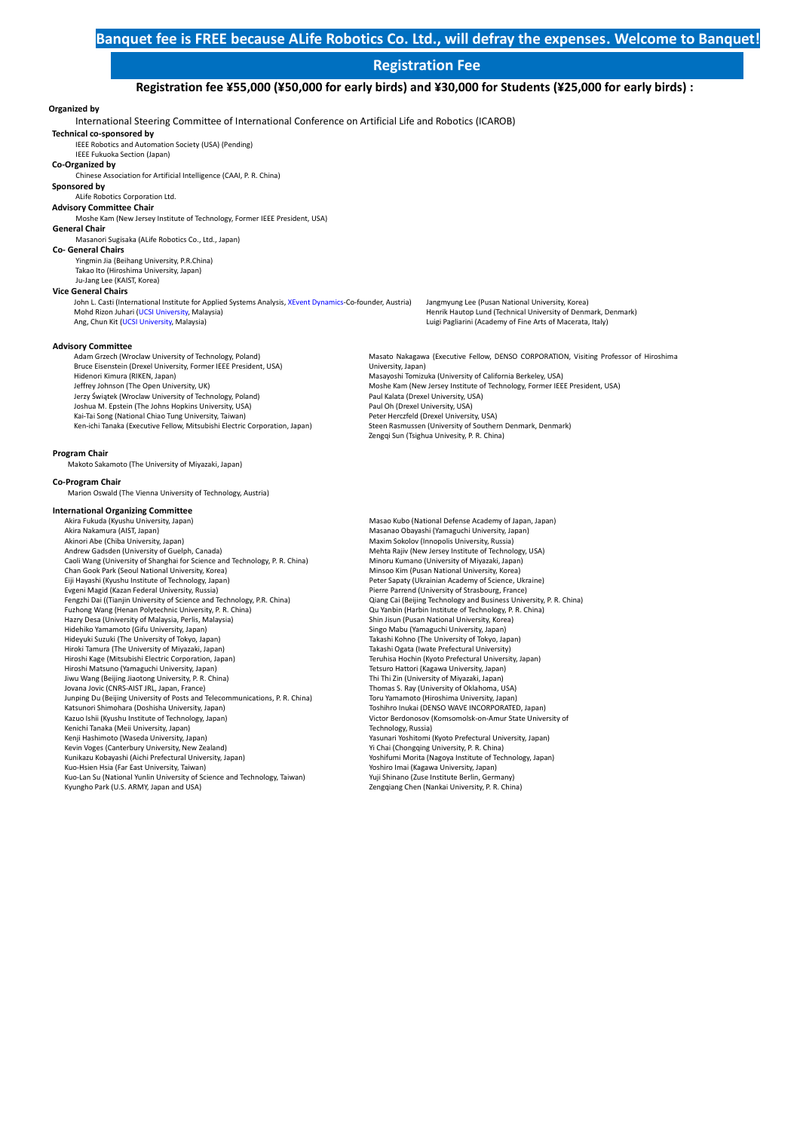### **Registration Fee**

**Registration fee ¥55,000 (¥50,000 for early birds) and ¥30,000 for Students (¥25,000 for early birds) :**

#### **Organized by**

International Steering Committee of International Conference on Artificial Life and Robotics (ICAROB)

**Technical co-sponsored by** IEEE Robotics and Automation Society (USA) (Pending)

IEEE Fukuoka Section (Japan)

#### **Co-Organized by**

Chinese Association for Artificial Intelligence (CAAI, P. R. China)

**Sponsored by** ALife Robotics Corporation Ltd.

#### **Advisory Committee Chair**

Moshe Kam (New Jersey Institute of Technology, Former IEEE President, USA)

#### **General Chair** Masanori Sugisaka (ALife Robotics Co., Ltd., Japan)

**Co- General Chairs** 

Yingmin Jia (Beihang University, P.R.China) Takao Ito (Hiroshima University, Japan) Ju-Jang Lee (KAIST, Korea)

#### **Vice General Chairs**

John L. Casti (International Institute for Applied Systems Analysis, [XEvent Dynamics-C](https://xed.world/draft-people-page/)o-founder, Austria) Mohd Rizon Juhari [\(UCSI University,](https://www.ucsiuniversity.edu.my/professor-dato-ir-dr-mohd-rizon-bin-mohamed-juhari) Malaysia) Ang, Chun Kit [\(UCSI University,](https://www.ucsiuniversity.edu.my/assistant-professor-dr-ang-chun-kit) Malaysia)

Jangmyung Lee (Pusan National University, Korea) Henrik Hautop Lund (Technical University of Denmark, Denmark) Luigi Pagliarini (Academy of Fine Arts of Macerata, Italy)

#### **Advisory Committee**

Adam Grzech (Wroclaw University of Technology, Poland) Bruce Eisenstein (Drexel University, Former IEEE President, USA) Hidenori Kimura (RIKEN, Japan) Jeffrey Johnson (The Open University, UK) Jerzy Świątek (Wroclaw University of Technology, Poland) Joshua M. Epstein (The Johns Hopkins University, USA) Kai-Tai Song (National Chiao Tung University, Taiwan) Ken-ichi Tanaka (Executive Fellow, Mitsubishi Electric Corporation, Japan)

#### Masato Nakagawa (Executive Fellow, DENSO CORPORATION, Visiting Professor of Hiroshima University, Japan) Masayoshi Tomizuka (University of California Berkeley, USA) Moshe Kam (New Jersey Institute of Technology, Former IEEE President, USA) Paul Kalata (Drexel University, USA) Paul Oh (Drexel University, USA) Peter Herczfeld (Drexel University, USA) Steen Rasmussen (University of Southern Denmark, Denmark) Zengqi Sun (Tsighua Univesity, P. R. China)

#### **Program Chair**

Makoto Sakamoto (The University of Miyazaki, Japan)

#### **Co-Program Chair**

Marion Oswald (The Vienna University of Technology, Austria)

#### **International Organizing Committee**

Akira Fukuda (Kyushu University, Japan) Akira Nakamura (AIST, Japan) Akinori Abe (Chiba University, Japan) Andrew Gadsden (University of Guelph, Canada) Caoli Wang (University of Shanghai for Science and Technology, P. R. China) Chan Gook Park (Seoul National University, Korea) Eiji Hayashi (Kyushu Institute of Technology, Japan) Evgeni Magid (Kazan Federal University, Russia) Fengzhi Dai ((Tianjin University of Science and Technology, P.R. China) Fuzhong Wang (Henan Polytechnic University, P. R. China) Hazry Desa (University of Malaysia, Perlis, Malaysia) Hidehiko Yamamoto (Gifu University, Japan) Hideyuki Suzuki (The University of Tokyo, Japan) Hiroki Tamura (The University of Miyazaki, Japan) Hiroshi Kage (Mitsubishi Electric Corporation, Japan) Hiroshi Matsuno (Yamaguchi University, Japan) Jiwu Wang (Beijing Jiaotong University, P. R. China) Jovana Jovic (CNRS-AIST JRL, Japan, France) Junping Du (Beijing University of Posts and Telecommunications, P. R. China) Katsunori Shimohara (Doshisha University, Japan) Kazuo Ishii (Kyushu Institute of Technology, Japan) Kenichi Tanaka (Meii University, Japan) Kenji Hashimoto (Waseda University, Japan) Kevin Voges (Canterbury University, New Zealand) Kunikazu Kobayashi (Aichi Prefectural University, Japan) Kuo-Hsien Hsia (Far East University, Taiwan) Kuo-Lan Su (National Yunlin University of Science and Technology, Taiwan) Kyungho Park (U.S. ARMY, Japan and USA)

Masao Kubo (National Defense Academy of Japan, Japan) Masanao Obayashi (Yamaguchi University, Japan) Maxim Sokolov (Innopolis University, Russia) Mehta Rajiv (New Jersey Institute of Technology, USA) Minoru Kumano (University of Miyazaki, Japan) Minsoo Kim (Pusan National University, Korea) Peter Sapaty (Ukrainian Academy of Science, Ukraine) Pierre Parrend (University of Strasbourg, France) Qiang Cai (Beijing Technology and Business University, P. R. China) Qu Yanbin (Harbin Institute of Technology, P. R. China) Shin Jisun (Pusan National University, Korea) Singo Mabu (Yamaguchi University, Japan) Takashi Kohno (The University of Tokyo, Japan) Takashi Ogata (Iwate Prefectural University) Teruhisa Hochin (Kyoto Prefectural University, Japan) Tetsuro Hattori (Kagawa University, Japan) Thi Thi Zin (University of Miyazaki, Japan) Thomas S. Ray (University of Oklahoma, USA) Toru Yamamoto (Hiroshima University, Japan) Toshihro Inukai (DENSO WAVE INCORPORATED, Japan) Victor Berdonosov (Komsomolsk-on-Amur State University of Technology, Russia) Yasunari Yoshitomi (Kyoto Prefectural University, Japan) Yi Chai (Chongqing University, P. R. China) Yoshifumi Morita (Nagoya Institute of Technology, Japan) Yoshiro Imai (Kagawa University, Japan) Yuji Shinano (Zuse Institute Berlin, Germany) Zengqiang Chen (Nankai University, P. R. China)